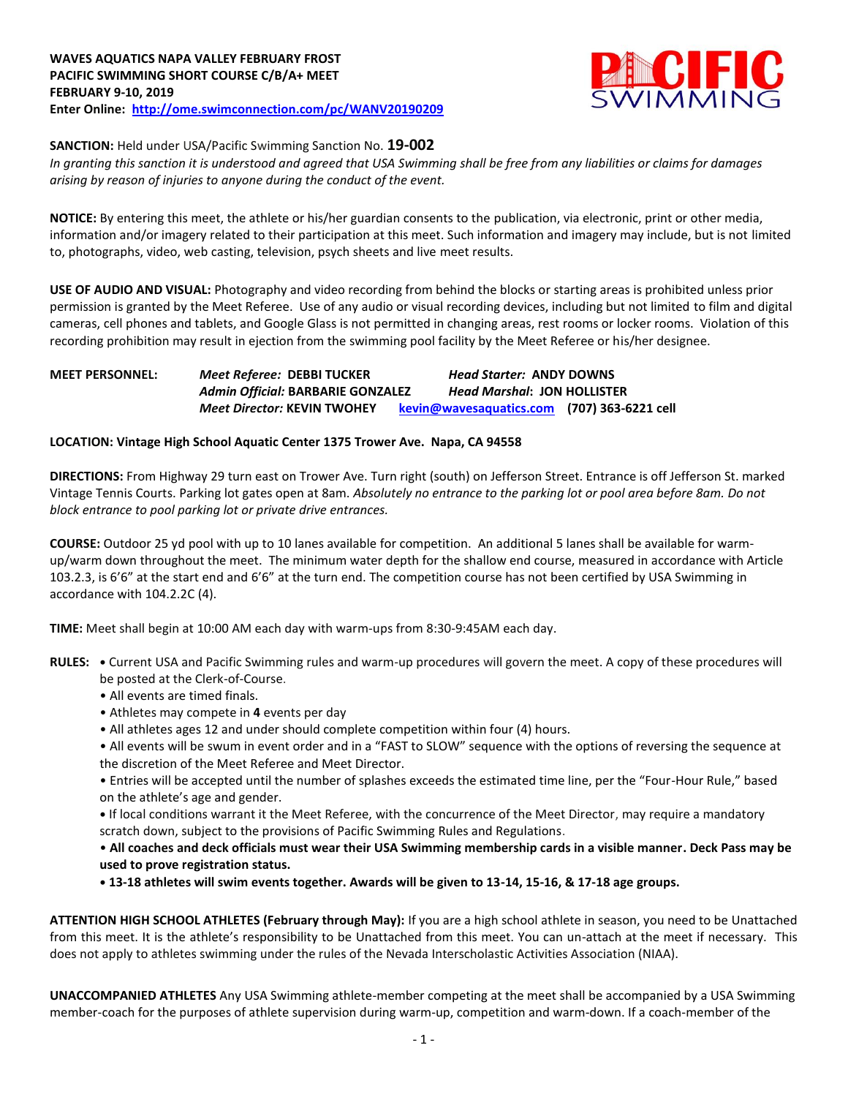

**SANCTION:** Held under USA/Pacific Swimming Sanction No. **19-002**

*In granting this sanction it is understood and agreed that USA Swimming shall be free from any liabilities or claims for damages arising by reason of injuries to anyone during the conduct of the event.* 

**NOTICE:** By entering this meet, the athlete or his/her guardian consents to the publication, via electronic, print or other media, information and/or imagery related to their participation at this meet. Such information and imagery may include, but is not limited to, photographs, video, web casting, television, psych sheets and live meet results.

**USE OF AUDIO AND VISUAL:** Photography and video recording from behind the blocks or starting areas is prohibited unless prior permission is granted by the Meet Referee. Use of any audio or visual recording devices, including but not limited to film and digital cameras, cell phones and tablets, and Google Glass is not permitted in changing areas, rest rooms or locker rooms. Violation of this recording prohibition may result in ejection from the swimming pool facility by the Meet Referee or his/her designee.

### **MEET PERSONNEL:** *Meet Referee:* **DEBBI TUCKER** *Head Starter:* **ANDY DOWNS** *Admin Official:* **BARBARIE GONZALEZ** *Head Marshal***: JON HOLLISTER** *Meet Director:* **KEVIN TWOHEY [kevin@wavesaquatics.com](mailto:kevin@wavesaquatics.com) (707) 363-6221 cell**

### **LOCATION: Vintage High School Aquatic Center 1375 Trower Ave. Napa, CA 94558**

**DIRECTIONS:** From Highway 29 turn east on Trower Ave. Turn right (south) on Jefferson Street. Entrance is off Jefferson St. marked Vintage Tennis Courts. Parking lot gates open at 8am. *Absolutely no entrance to the parking lot or pool area before 8am. Do not block entrance to pool parking lot or private drive entrances.*

**COURSE:** Outdoor 25 yd pool with up to 10 lanes available for competition. An additional 5 lanes shall be available for warmup/warm down throughout the meet. The minimum water depth for the shallow end course, measured in accordance with Article 103.2.3, is 6'6" at the start end and 6'6" at the turn end. The competition course has not been certified by USA Swimming in accordance with 104.2.2C (4).

**TIME:** Meet shall begin at 10:00 AM each day with warm-ups from 8:30-9:45AM each day.

- **RULES: •** Current USA and Pacific Swimming rules and warm-up procedures will govern the meet. A copy of these procedures will be posted at the Clerk-of-Course.
	- All events are timed finals.
	- Athletes may compete in **4** events per day
	- All athletes ages 12 and under should complete competition within four (4) hours.
	- All events will be swum in event order and in a "FAST to SLOW" sequence with the options of reversing the sequence at the discretion of the Meet Referee and Meet Director.

• Entries will be accepted until the number of splashes exceeds the estimated time line, per the "Four-Hour Rule," based on the athlete's age and gender.

**•** If local conditions warrant it the Meet Referee, with the concurrence of the Meet Director, may require a mandatory scratch down, subject to the provisions of Pacific Swimming Rules and Regulations.

• **All coaches and deck officials must wear their USA Swimming membership cards in a visible manner. Deck Pass may be used to prove registration status.**

**• 13-18 athletes will swim events together. Awards will be given to 13-14, 15-16, & 17-18 age groups.**

**ATTENTION HIGH SCHOOL ATHLETES (February through May):** If you are a high school athlete in season, you need to be Unattached from this meet. It is the athlete's responsibility to be Unattached from this meet. You can un-attach at the meet if necessary. This does not apply to athletes swimming under the rules of the Nevada Interscholastic Activities Association (NIAA).

**UNACCOMPANIED ATHLETES** Any USA Swimming athlete-member competing at the meet shall be accompanied by a USA Swimming member-coach for the purposes of athlete supervision during warm-up, competition and warm-down. If a coach-member of the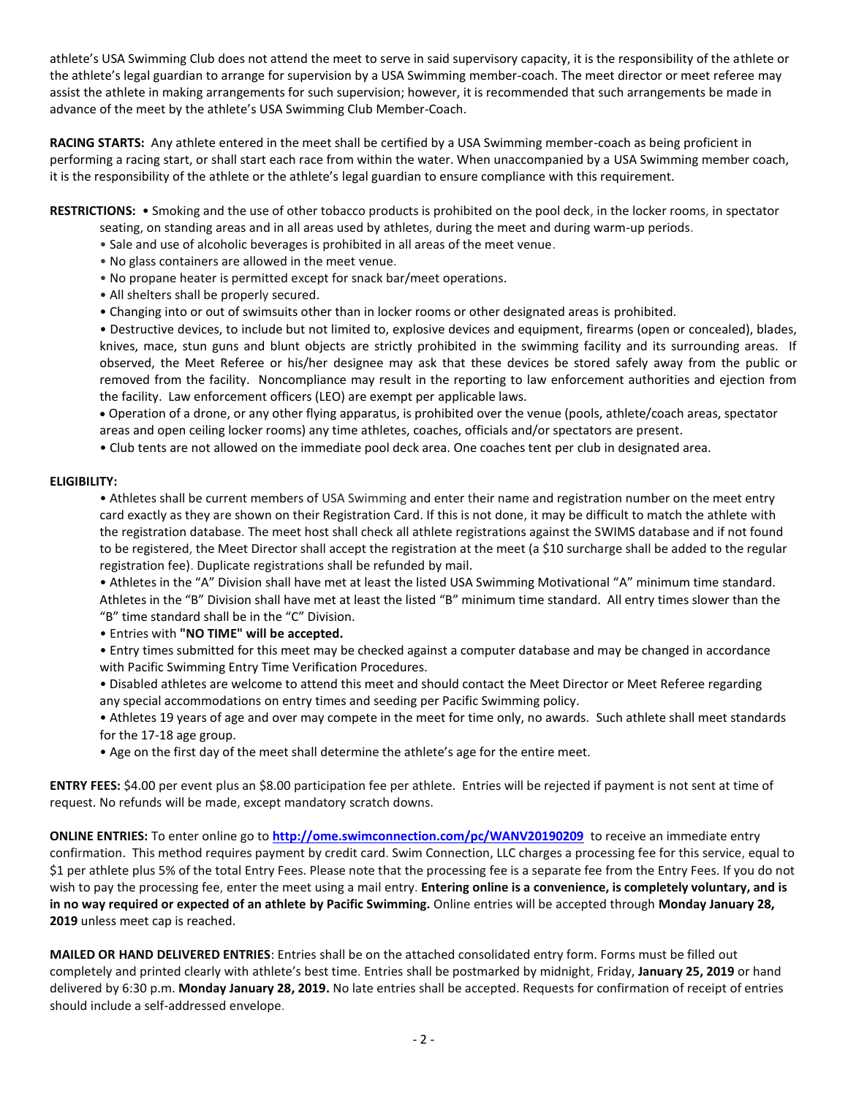athlete's USA Swimming Club does not attend the meet to serve in said supervisory capacity, it is the responsibility of the athlete or the athlete's legal guardian to arrange for supervision by a USA Swimming member-coach. The meet director or meet referee may assist the athlete in making arrangements for such supervision; however, it is recommended that such arrangements be made in advance of the meet by the athlete's USA Swimming Club Member-Coach.

**RACING STARTS:** Any athlete entered in the meet shall be certified by a USA Swimming member-coach as being proficient in performing a racing start, or shall start each race from within the water. When unaccompanied by a USA Swimming member coach, it is the responsibility of the athlete or the athlete's legal guardian to ensure compliance with this requirement.

**RESTRICTIONS:** • Smoking and the use of other tobacco products is prohibited on the pool deck, in the locker rooms, in spectator

- seating, on standing areas and in all areas used by athletes, during the meet and during warm-up periods.
- Sale and use of alcoholic beverages is prohibited in all areas of the meet venue.
- No glass containers are allowed in the meet venue.
- No propane heater is permitted except for snack bar/meet operations.
- All shelters shall be properly secured.
- Changing into or out of swimsuits other than in locker rooms or other designated areas is prohibited.

• Destructive devices, to include but not limited to, explosive devices and equipment, firearms (open or concealed), blades, knives, mace, stun guns and blunt objects are strictly prohibited in the swimming facility and its surrounding areas. If observed, the Meet Referee or his/her designee may ask that these devices be stored safely away from the public or removed from the facility. Noncompliance may result in the reporting to law enforcement authorities and ejection from the facility. Law enforcement officers (LEO) are exempt per applicable laws.

 Operation of a drone, or any other flying apparatus, is prohibited over the venue (pools, athlete/coach areas, spectator areas and open ceiling locker rooms) any time athletes, coaches, officials and/or spectators are present.

• Club tents are not allowed on the immediate pool deck area. One coaches tent per club in designated area.

### **ELIGIBILITY:**

• Athletes shall be current members of USA Swimming and enter their name and registration number on the meet entry card exactly as they are shown on their Registration Card. If this is not done, it may be difficult to match the athlete with the registration database. The meet host shall check all athlete registrations against the SWIMS database and if not found to be registered, the Meet Director shall accept the registration at the meet (a \$10 surcharge shall be added to the regular registration fee). Duplicate registrations shall be refunded by mail.

• Athletes in the "A" Division shall have met at least the listed USA Swimming Motivational "A" minimum time standard. Athletes in the "B" Division shall have met at least the listed "B" minimum time standard. All entry times slower than the "B" time standard shall be in the "C" Division.

• Entries with **"NO TIME" will be accepted.**

• Entry times submitted for this meet may be checked against a computer database and may be changed in accordance with Pacific Swimming Entry Time Verification Procedures.

• Disabled athletes are welcome to attend this meet and should contact the Meet Director or Meet Referee regarding any special accommodations on entry times and seeding per Pacific Swimming policy.

• Athletes 19 years of age and over may compete in the meet for time only, no awards. Such athlete shall meet standards for the 17-18 age group.

• Age on the first day of the meet shall determine the athlete's age for the entire meet.

**ENTRY FEES:** \$4.00 per event plus an \$8.00 participation fee per athlete. Entries will be rejected if payment is not sent at time of request. No refunds will be made, except mandatory scratch downs.

**ONLINE ENTRIES:** To enter online go to **<http://ome.swimconnection.com/pc/WANV20190209>** to receive an immediate entry confirmation. This method requires payment by credit card. Swim Connection, LLC charges a processing fee for this service, equal to \$1 per athlete plus 5% of the total Entry Fees. Please note that the processing fee is a separate fee from the Entry Fees. If you do not wish to pay the processing fee, enter the meet using a mail entry. **Entering online is a convenience, is completely voluntary, and is in no way required or expected of an athlete by Pacific Swimming.** Online entries will be accepted through **Monday January 28, 2019** unless meet cap is reached.

**MAILED OR HAND DELIVERED ENTRIES**: Entries shall be on the attached consolidated entry form. Forms must be filled out completely and printed clearly with athlete's best time. Entries shall be postmarked by midnight, Friday, **January 25, 2019** or hand delivered by 6:30 p.m. **Monday January 28, 2019.** No late entries shall be accepted. Requests for confirmation of receipt of entries should include a self-addressed envelope.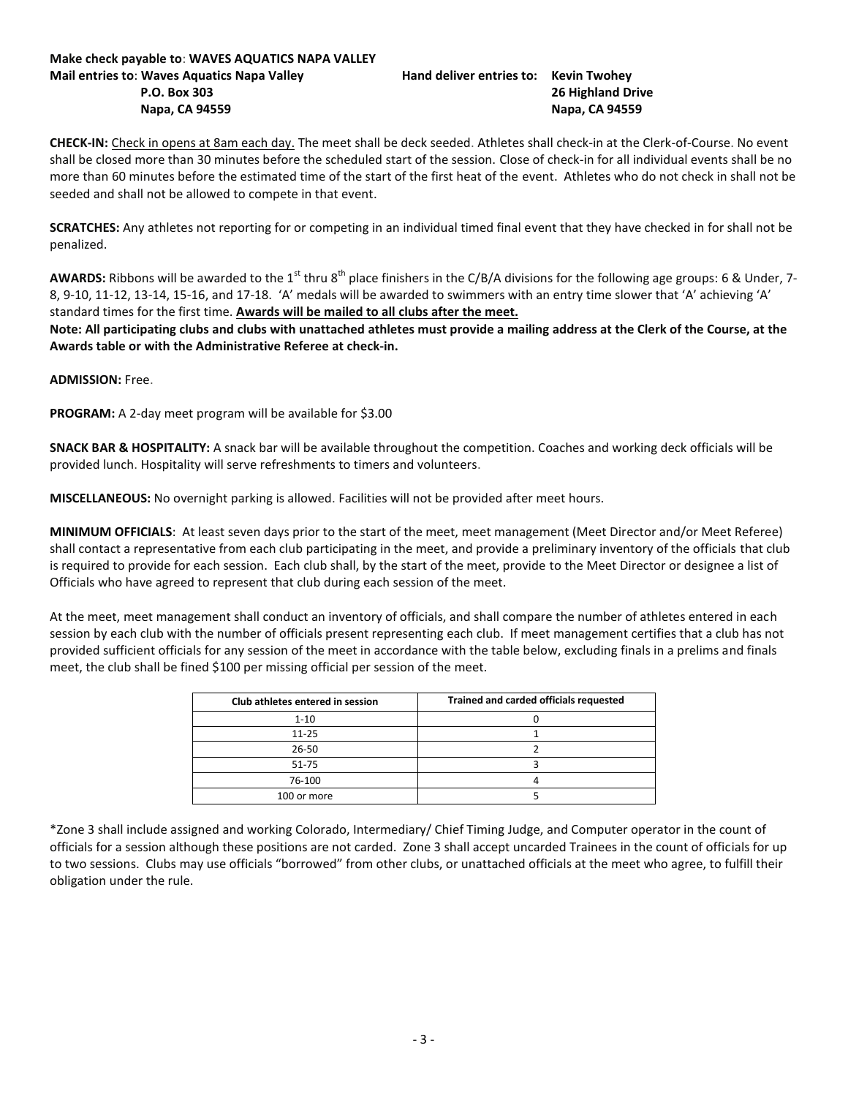# **Make check payable to**: **WAVES AQUATICS NAPA VALLEY Mail entries to**: **Waves Aquatics Napa Valley Hand deliver entries to: Kevin Twohey**

# **P.O. Box 303 26 Highland Drive Napa, CA 94559 Napa, CA 94559**

**CHECK-IN:** Check in opens at 8am each day. The meet shall be deck seeded. Athletes shall check-in at the Clerk-of-Course. No event shall be closed more than 30 minutes before the scheduled start of the session. Close of check-in for all individual events shall be no more than 60 minutes before the estimated time of the start of the first heat of the event. Athletes who do not check in shall not be seeded and shall not be allowed to compete in that event.

**SCRATCHES:** Any athletes not reporting for or competing in an individual timed final event that they have checked in for shall not be penalized.

AWARDS: Ribbons will be awarded to the 1<sup>st</sup> thru 8<sup>th</sup> place finishers in the C/B/A divisions for the following age groups: 6 & Under, 7-8, 9-10, 11-12, 13-14, 15-16, and 17-18. 'A' medals will be awarded to swimmers with an entry time slower that 'A' achieving 'A' standard times for the first time. **Awards will be mailed to all clubs after the meet.**

**Note: All participating clubs and clubs with unattached athletes must provide a mailing address at the Clerk of the Course, at the Awards table or with the Administrative Referee at check-in.**

**ADMISSION:** Free.

**PROGRAM:** A 2-day meet program will be available for \$3.00

**SNACK BAR & HOSPITALITY:** A snack bar will be available throughout the competition. Coaches and working deck officials will be provided lunch. Hospitality will serve refreshments to timers and volunteers.

**MISCELLANEOUS:** No overnight parking is allowed. Facilities will not be provided after meet hours.

**MINIMUM OFFICIALS**: At least seven days prior to the start of the meet, meet management (Meet Director and/or Meet Referee) shall contact a representative from each club participating in the meet, and provide a preliminary inventory of the officials that club is required to provide for each session. Each club shall, by the start of the meet, provide to the Meet Director or designee a list of Officials who have agreed to represent that club during each session of the meet.

At the meet, meet management shall conduct an inventory of officials, and shall compare the number of athletes entered in each session by each club with the number of officials present representing each club. If meet management certifies that a club has not provided sufficient officials for any session of the meet in accordance with the table below, excluding finals in a prelims and finals meet, the club shall be fined \$100 per missing official per session of the meet.

| Club athletes entered in session | Trained and carded officials requested |
|----------------------------------|----------------------------------------|
| $1 - 10$                         |                                        |
| $11 - 25$                        |                                        |
| 26-50                            |                                        |
| 51-75                            |                                        |
| 76-100                           |                                        |
| 100 or more                      |                                        |

\*Zone 3 shall include assigned and working Colorado, Intermediary/ Chief Timing Judge, and Computer operator in the count of officials for a session although these positions are not carded. Zone 3 shall accept uncarded Trainees in the count of officials for up to two sessions. Clubs may use officials "borrowed" from other clubs, or unattached officials at the meet who agree, to fulfill their obligation under the rule.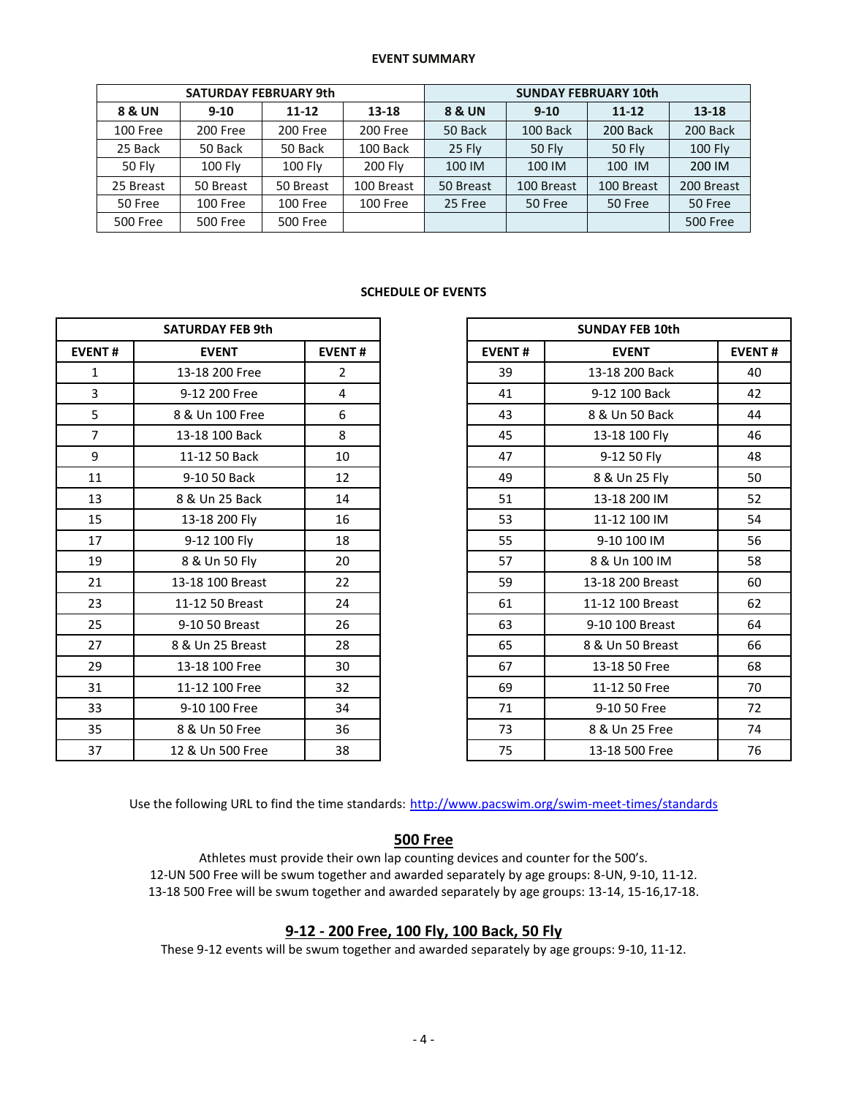#### **EVENT SUMMARY**

|                 | <b>SATURDAY FEBRUARY 9th</b> |                 |            | <b>SUNDAY FEBRUARY 10th</b> |            |               |                 |  |  |
|-----------------|------------------------------|-----------------|------------|-----------------------------|------------|---------------|-----------------|--|--|
| 8 & UN          | $9 - 10$                     | $11 - 12$       | 13-18      | 8 & UN                      | $9 - 10$   | $11 - 12$     | 13-18           |  |  |
| 100 Free        | 200 Free                     | 200 Free        | 200 Free   | 50 Back                     | 100 Back   | 200 Back      | 200 Back        |  |  |
| 25 Back         | 50 Back                      | 50 Back         | 100 Back   | 25 Fly                      | 50 Fly     | <b>50 Fly</b> | <b>100 Fly</b>  |  |  |
| <b>50 Fly</b>   | 100 Fly                      | 100 Fly         | 200 Fly    | 100 IM                      | 100 IM     | 100 IM        | 200 IM          |  |  |
| 25 Breast       | 50 Breast                    | 50 Breast       | 100 Breast | 50 Breast                   | 100 Breast | 100 Breast    | 200 Breast      |  |  |
| 50 Free         | 100 Free                     | 100 Free        | 100 Free   | 25 Free                     | 50 Free    | 50 Free       | 50 Free         |  |  |
| <b>500 Free</b> | <b>500 Free</b>              | <b>500 Free</b> |            |                             |            |               | <b>500 Free</b> |  |  |

### **SCHEDULE OF EVENTS**

| <b>SATURDAY FEB 9th</b> |                  |                |  |  |
|-------------------------|------------------|----------------|--|--|
| <b>EVENT#</b>           | <b>EVENT</b>     | <b>EVENT#</b>  |  |  |
| 1                       | 13-18 200 Free   | $\overline{2}$ |  |  |
| 3                       | 9-12 200 Free    | 4              |  |  |
| 5                       | 8 & Un 100 Free  | 6              |  |  |
| $\overline{7}$          | 13-18 100 Back   | 8              |  |  |
| 9                       | 11-12 50 Back    | 10             |  |  |
| 11                      | 9-10 50 Back     | 12             |  |  |
| 13                      | 8 & Un 25 Back   | 14             |  |  |
| 15                      | 13-18 200 Fly    | 16             |  |  |
| 17                      | 9-12 100 Fly     | 18             |  |  |
| 19                      | 8 & Un 50 Fly    | 20             |  |  |
| 21                      | 13-18 100 Breast | 22             |  |  |
| 23                      | 11-12 50 Breast  | 24             |  |  |
| 25                      | 9-10 50 Breast   | 26             |  |  |
| 27                      | 8 & Un 25 Breast | 28             |  |  |
| 29                      | 13-18 100 Free   | 30             |  |  |
| 31                      | 11-12 100 Free   | 32             |  |  |
| 33                      | 9-10 100 Free    | 34             |  |  |
| 35                      | 8 & Un 50 Free   | 36             |  |  |
| 37                      | 12 & Un 500 Free | 38             |  |  |

| <b>SATURDAY FEB 9th</b> |                  |                |               | <b>SUNDAY FEB 10th</b> |               |
|-------------------------|------------------|----------------|---------------|------------------------|---------------|
| <b>EVENT#</b>           | <b>EVENT</b>     | <b>EVENT#</b>  | <b>EVENT#</b> | <b>EVENT</b>           | <b>EVENT#</b> |
| 1                       | 13-18 200 Free   | $\overline{2}$ | 39            | 13-18 200 Back         | 40            |
| 3                       | 9-12 200 Free    | 4              | 41            | 9-12 100 Back          | 42            |
| 5                       | 8 & Un 100 Free  | 6              | 43            | 8 & Un 50 Back         | 44            |
| $\overline{7}$          | 13-18 100 Back   | 8              | 45            | 13-18 100 Fly          | 46            |
| 9                       | 11-12 50 Back    | 10             | 47            | 9-12 50 Fly            | 48            |
| 11                      | 9-10 50 Back     | 12             | 49            | 8 & Un 25 Fly          | 50            |
| 13                      | 8 & Un 25 Back   | 14             | 51            | 13-18 200 IM           | 52            |
| 15                      | 13-18 200 Fly    | 16             | 53            | 11-12 100 IM           | 54            |
| 17                      | 9-12 100 Fly     | 18             | 55            | 9-10 100 IM            | 56            |
| 19                      | 8 & Un 50 Fly    | 20             | 57            | 8 & Un 100 IM          | 58            |
| 21                      | 13-18 100 Breast | 22             | 59            | 13-18 200 Breast       | 60            |
| 23                      | 11-12 50 Breast  | 24             | 61            | 11-12 100 Breast       | 62            |
| 25                      | 9-10 50 Breast   | 26             | 63            | 9-10 100 Breast        | 64            |
| 27                      | 8 & Un 25 Breast | 28             | 65            | 8 & Un 50 Breast       | 66            |
| 29                      | 13-18 100 Free   | 30             | 67            | 13-18 50 Free          | 68            |
| 31                      | 11-12 100 Free   | 32             | 69            | 11-12 50 Free          | 70            |
| 33                      | 9-10 100 Free    | 34             | 71            | 9-10 50 Free           | 72            |
| 35                      | 8 & Un 50 Free   | 36             | 73            | 8 & Un 25 Free         | 74            |
| 37                      | 12 & Un 500 Free | 38             | 75            | 13-18 500 Free         | 76            |

Use the following URL to find the time standards: <http://www.pacswim.org/swim-meet-times/standards>

# **500 Free**

Athletes must provide their own lap counting devices and counter for the 500's. 12-UN 500 Free will be swum together and awarded separately by age groups: 8-UN, 9-10, 11-12. 13-18 500 Free will be swum together and awarded separately by age groups: 13-14, 15-16,17-18.

## **9-12 - 200 Free, 100 Fly, 100 Back, 50 Fly**

These 9-12 events will be swum together and awarded separately by age groups: 9-10, 11-12.